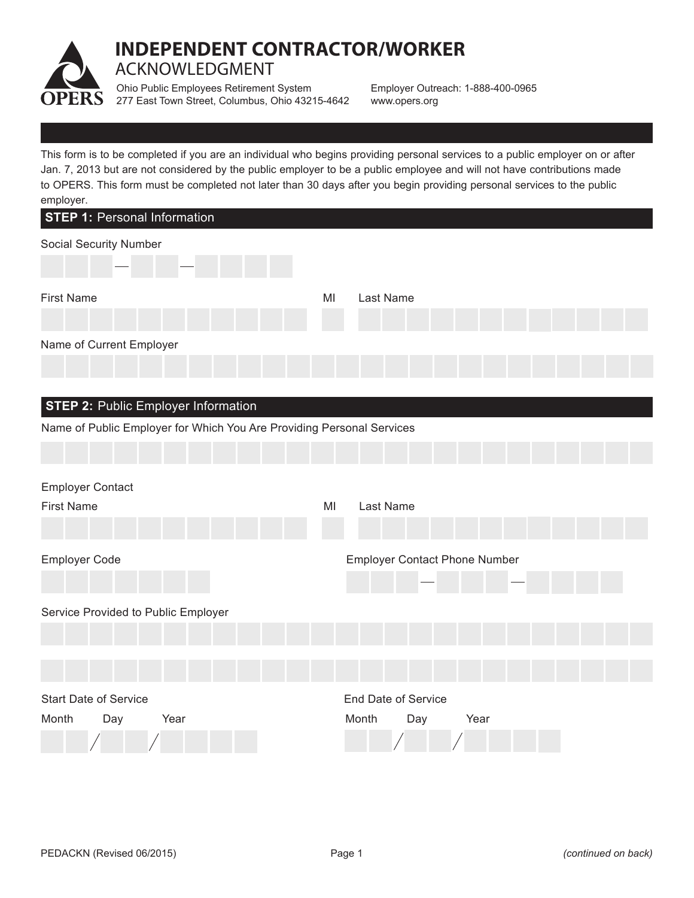

## **INDEPENDENT CONTRACTOR/WORKER** ACKNOWLEDGMENT

Ohio Public Employees Retirement System 277 East Town Street, Columbus, Ohio 43215-4642

Employer Outreach: 1-888-400-0965 www.opers.org

This form is to be completed if you are an individual who begins providing personal services to a public employer on or after Jan. 7, 2013 but are not considered by the public employer to be a public employee and will not have contributions made to OPERS. This form must be completed not later than 30 days after you begin providing personal services to the public employer.

| <b>STEP 1: Personal Information</b>                                                                                 |                                                    |
|---------------------------------------------------------------------------------------------------------------------|----------------------------------------------------|
| Social Security Number                                                                                              |                                                    |
| <b>First Name</b>                                                                                                   | MI<br>Last Name                                    |
| Name of Current Employer                                                                                            |                                                    |
| <b>STEP 2: Public Employer Information</b><br>Name of Public Employer for Which You Are Providing Personal Services |                                                    |
| <b>Employer Contact</b><br><b>First Name</b>                                                                        | Last Name<br>MI                                    |
| Employer Code                                                                                                       | <b>Employer Contact Phone Number</b>               |
| Service Provided to Public Employer                                                                                 |                                                    |
| <b>Start Date of Service</b><br>Day<br>Year<br>Month                                                                | <b>End Date of Service</b><br>Month<br>Year<br>Day |